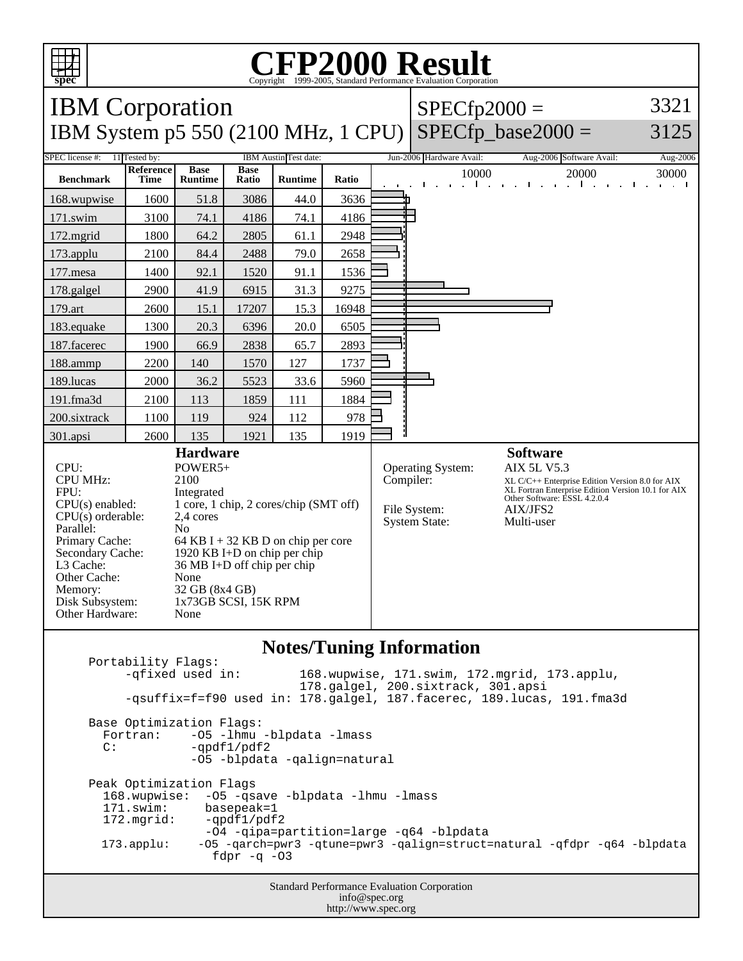

## C<sub>opyright</sub> ©1999-2005, Standard Performance Evaluation Corporation

| <b>IBM</b> Corporation                                                                                                                                                                                       |                                                                                                                                                                                                                                                                                          |                               |                      |                |       |                                                                        | $SPECfp2000 =$                                                                                                                                                                                           | 3321                                                                     |                      |
|--------------------------------------------------------------------------------------------------------------------------------------------------------------------------------------------------------------|------------------------------------------------------------------------------------------------------------------------------------------------------------------------------------------------------------------------------------------------------------------------------------------|-------------------------------|----------------------|----------------|-------|------------------------------------------------------------------------|----------------------------------------------------------------------------------------------------------------------------------------------------------------------------------------------------------|--------------------------------------------------------------------------|----------------------|
| <b>IBM System p5 550 (2100 MHz, 1 CPU)</b>                                                                                                                                                                   |                                                                                                                                                                                                                                                                                          |                               |                      |                |       |                                                                        | $SPECfp\_base2000 =$                                                                                                                                                                                     | 3125                                                                     |                      |
| SPEC license #:<br>11 Tested by:<br>IBM Austin Test date:                                                                                                                                                    |                                                                                                                                                                                                                                                                                          |                               |                      |                |       |                                                                        | Jun-2006 Hardware Avail:                                                                                                                                                                                 | Aug-2006 Software Avail:                                                 | Aug-2006             |
| <b>Benchmark</b>                                                                                                                                                                                             | Reference<br><b>Time</b>                                                                                                                                                                                                                                                                 | <b>Base</b><br><b>Runtime</b> | <b>Base</b><br>Ratio | <b>Runtime</b> | Ratio |                                                                        | 10000<br>$\sim$ $\sim$ $\sim$ $\sim$ $\sim$ $\sim$ $\sim$                                                                                                                                                | 20000<br><b>Lating Contract</b><br>and the company of the company of the | 30000<br>and a state |
| 168.wupwise                                                                                                                                                                                                  | 1600                                                                                                                                                                                                                                                                                     | 51.8                          | 3086                 | 44.0           | 3636  |                                                                        |                                                                                                                                                                                                          |                                                                          |                      |
| 171.swim                                                                                                                                                                                                     | 3100                                                                                                                                                                                                                                                                                     | 74.1                          | 4186                 | 74.1           | 4186  |                                                                        |                                                                                                                                                                                                          |                                                                          |                      |
| 172.mgrid                                                                                                                                                                                                    | 1800                                                                                                                                                                                                                                                                                     | 64.2                          | 2805                 | 61.1           | 2948  |                                                                        |                                                                                                                                                                                                          |                                                                          |                      |
| 173.applu                                                                                                                                                                                                    | 2100                                                                                                                                                                                                                                                                                     | 84.4                          | 2488                 | 79.0           | 2658  |                                                                        |                                                                                                                                                                                                          |                                                                          |                      |
| 177.mesa                                                                                                                                                                                                     | 1400                                                                                                                                                                                                                                                                                     | 92.1                          | 1520                 | 91.1           | 1536  |                                                                        |                                                                                                                                                                                                          |                                                                          |                      |
| 178.galgel                                                                                                                                                                                                   | 2900                                                                                                                                                                                                                                                                                     | 41.9                          | 6915                 | 31.3           | 9275  |                                                                        |                                                                                                                                                                                                          |                                                                          |                      |
| 179.art                                                                                                                                                                                                      | 2600                                                                                                                                                                                                                                                                                     | 15.1                          | 17207                | 15.3           | 16948 |                                                                        |                                                                                                                                                                                                          |                                                                          |                      |
| 183.equake                                                                                                                                                                                                   | 1300                                                                                                                                                                                                                                                                                     | 20.3                          | 6396                 | 20.0           | 6505  |                                                                        |                                                                                                                                                                                                          |                                                                          |                      |
| 187.facerec                                                                                                                                                                                                  | 1900                                                                                                                                                                                                                                                                                     | 66.9                          | 2838                 | 65.7           | 2893  |                                                                        |                                                                                                                                                                                                          |                                                                          |                      |
| 188.ammp                                                                                                                                                                                                     | 2200                                                                                                                                                                                                                                                                                     | 140                           | 1570                 | 127            | 1737  |                                                                        |                                                                                                                                                                                                          |                                                                          |                      |
| 189.lucas                                                                                                                                                                                                    | 2000                                                                                                                                                                                                                                                                                     | 36.2                          | 5523                 | 33.6           | 5960  |                                                                        |                                                                                                                                                                                                          |                                                                          |                      |
| 191.fma3d                                                                                                                                                                                                    | 2100                                                                                                                                                                                                                                                                                     | 113                           | 1859                 | 111            | 1884  |                                                                        |                                                                                                                                                                                                          |                                                                          |                      |
| 200.sixtrack                                                                                                                                                                                                 | 1100                                                                                                                                                                                                                                                                                     | 119                           | 924                  | 112            | 978   |                                                                        |                                                                                                                                                                                                          |                                                                          |                      |
| 301.apsi                                                                                                                                                                                                     | 2600                                                                                                                                                                                                                                                                                     | 135                           | 1921                 | 135            | 1919  |                                                                        |                                                                                                                                                                                                          |                                                                          |                      |
| CPU:<br><b>CPU MHz:</b><br>FPU:<br>$CPU(s)$ enabled:<br>$CPU(s)$ orderable:<br>Parallel:<br>Primary Cache:<br>Secondary Cache:<br>L3 Cache:<br>Other Cache:<br>Memory:<br>Disk Subsystem:<br>Other Hardware: | <b>Hardware</b><br>POWER5+<br>2100<br>Integrated<br>1 core, 1 chip, 2 cores/chip (SMT off)<br>2,4 cores<br>N <sub>o</sub><br>64 KB I + 32 KB D on chip per core<br>1920 KB I+D on chip per chip<br>36 MB I+D off chip per chip<br>None<br>32 GB (8x4 GB)<br>1x73GB SCSI, 15K RPM<br>None |                               |                      |                |       | Operating System:<br>Compiler:<br>File System:<br><b>System State:</b> | <b>Software</b><br><b>AIX 5L V5.3</b><br>XL C/C++ Enterprise Edition Version 8.0 for AIX<br>XL Fortran Enterprise Edition Version 10.1 for AIX<br>Other Software: ESSL 4.2.0.4<br>AIX/JFS2<br>Multi-user |                                                                          |                      |

## **Notes/Tuning Information**

Portability Flags:<br>-qfixed used in: 168.wupwise, 171.swim, 172.mgrid, 173.applu, 178.galgel, 200.sixtrack, 301.apsi -qsuffix=f=f90 used in: 178.galgel, 187.facerec, 189.lucas, 191.fma3d Base Optimization Flags: Fortran: -05 -1hmu -blpdata -1mass<br>C: -ordf1/pdf2  $-qpdf1/pdf2$  -O5 -blpdata -qalign=natural Peak Optimization Flags 168.wupwise: -O5 -qsave -blpdata -lhmu -lmass 171.swim: basepeak=1<br>172.mgrid: -qpdf1/pdf  $-qpdf1/pdf2$  -O4 -qipa=partition=large -q64 -blpdata 173.applu: -O5 -qarch=pwr3 -qtune=pwr3 -qalign=struct=natural -qfdpr -q64 -blpdata fdpr  $-q$  -03

> Standard Performance Evaluation Corporation info@spec.org http://www.spec.org